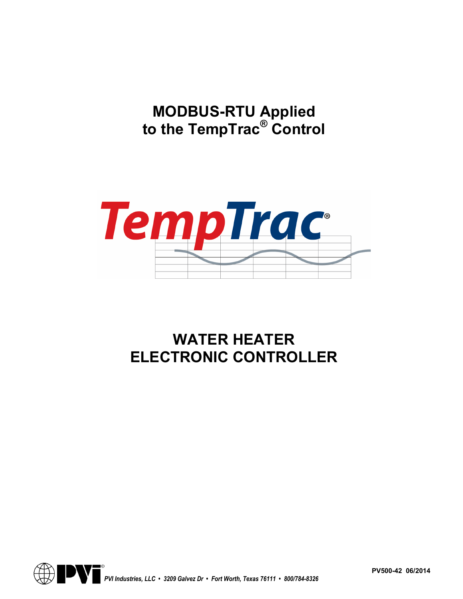**MODBUS-RTU Applied to the TempTrac® Control** 



# **WATER HEATER ELECTRONIC CONTROLLER**



**PV500-42 06/2014**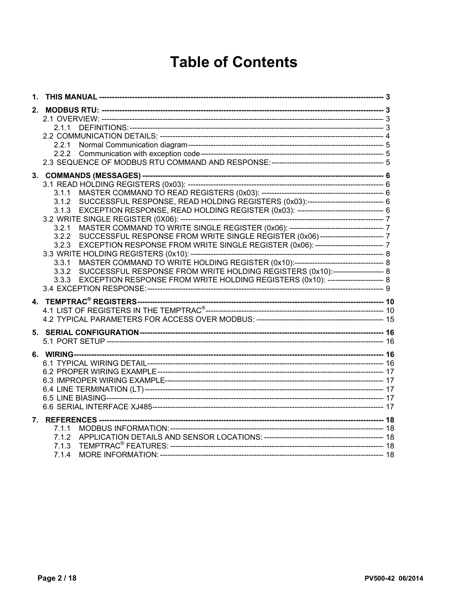# **Table of Contents**

| 2. | 2.1.1<br>2.2.1                                                                                                                                                                                                                                                                                                                                                                                                                                                                                                          |  |
|----|-------------------------------------------------------------------------------------------------------------------------------------------------------------------------------------------------------------------------------------------------------------------------------------------------------------------------------------------------------------------------------------------------------------------------------------------------------------------------------------------------------------------------|--|
|    | 3.1.1<br>SUCCESSFUL RESPONSE, READ HOLDING REGISTERS (0x03):----------------------------------- 6<br>3.1.2<br>3.2.1<br>SUCCESSFUL RESPONSE FROM WRITE SINGLE REGISTER (0x06)--------------------------- 7<br>3.2.2<br>EXCEPTION RESPONSE FROM WRITE SINGLE REGISTER (0x06): --------------------------- 7<br>3.2.3<br>3.3.1<br>SUCCESSFUL RESPONSE FROM WRITE HOLDING REGISTERS (0x10):----------------------- 8<br>3.3.2<br>EXCEPTION RESPONSE FROM WRITE HOLDING REGISTERS (0x10): ----------------------- 8<br>3.3.3 |  |
|    |                                                                                                                                                                                                                                                                                                                                                                                                                                                                                                                         |  |
|    |                                                                                                                                                                                                                                                                                                                                                                                                                                                                                                                         |  |
|    |                                                                                                                                                                                                                                                                                                                                                                                                                                                                                                                         |  |
|    | 7.1.1<br>7.1.2<br>7.1.3<br>7.1.4                                                                                                                                                                                                                                                                                                                                                                                                                                                                                        |  |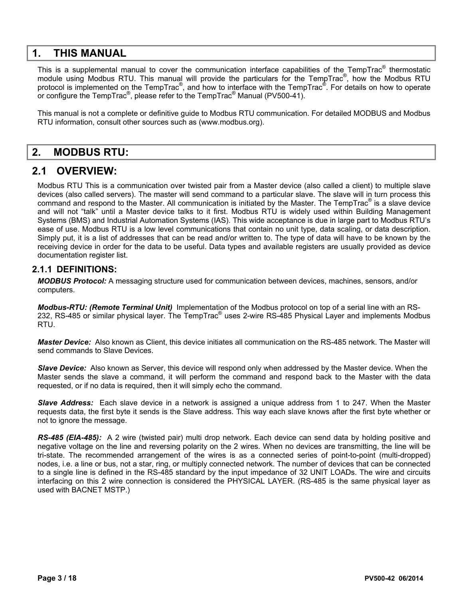## **1. THIS MANUAL**

This is a supplemental manual to cover the communication interface capabilities of the TempTrac<sup>®</sup> thermostatic module using Modbus RTU. This manual will provide the particulars for the TempTrac<sup>®</sup>, how the Modbus RTU protocol is implemented on the TempTrac<sup>®</sup>, and how to interface with the TempTrac<sup>®</sup>. For details on how to operate or configure the TempTrac<sup>®</sup>, please refer to the TempTrac<sup>®</sup> Manual (PV500-41).

This manual is not a complete or definitive guide to Modbus RTU communication. For detailed MODBUS and Modbus RTU information, consult other sources such as (www.modbus.org).

## **2. MODBUS RTU:**

## **2.1 OVERVIEW:**

Modbus RTU This is a communication over twisted pair from a Master device (also called a client) to multiple slave devices (also called servers). The master will send command to a particular slave. The slave will in turn process this command and respond to the Master. All communication is initiated by the Master. The TempTrac<sup>®</sup> is a slave device and will not "talk" until a Master device talks to it first. Modbus RTU is widely used within Building Management Systems (BMS) and Industrial Automation Systems (IAS). This wide acceptance is due in large part to Modbus RTU's ease of use. Modbus RTU is a low level communications that contain no unit type, data scaling, or data description. Simply put, it is a list of addresses that can be read and/or written to. The type of data will have to be known by the receiving device in order for the data to be useful. Data types and available registers are usually provided as device documentation register list.

#### **2.1.1 DEFINITIONS:**

*MODBUS Protocol:* A messaging structure used for communication between devices, machines, sensors, and/or computers.

*Modbus-RTU: (Remote Terminal Unit)* Implementation of the Modbus protocol on top of a serial line with an RS-232, RS-485 or similar physical layer. The TempTrac<sup>®</sup> uses 2-wire RS-485 Physical Layer and implements Modbus RTU.

*Master Device:* Also known as Client, this device initiates all communication on the RS-485 network. The Master will send commands to Slave Devices.

*Slave Device:* Also known as Server, this device will respond only when addressed by the Master device. When the Master sends the slave a command, it will perform the command and respond back to the Master with the data requested, or if no data is required, then it will simply echo the command.

*Slave Address:* Each slave device in a network is assigned a unique address from 1 to 247. When the Master requests data, the first byte it sends is the Slave address. This way each slave knows after the first byte whether or not to ignore the message.

*RS-485 (EIA-485):* A 2 wire (twisted pair) multi drop network. Each device can send data by holding positive and negative voltage on the line and reversing polarity on the 2 wires. When no devices are transmitting, the line will be tri-state. The recommended arrangement of the wires is as a connected series of point-to-point (multi-dropped) nodes, i.e. a line or bus, not a star, ring, or multiply connected network. The number of devices that can be connected to a single line is defined in the RS-485 standard by the input impedance of 32 UNIT LOADs. The wire and circuits interfacing on this 2 wire connection is considered the PHYSICAL LAYER. (RS-485 is the same physical layer as used with BACNET MSTP.)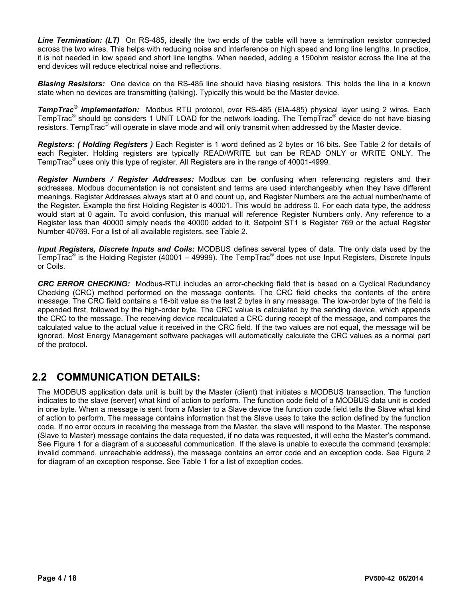*Line Termination: (LT)* On RS-485, ideally the two ends of the cable will have a termination resistor connected across the two wires. This helps with reducing noise and interference on high speed and long line lengths. In practice, it is not needed in low speed and short line lengths. When needed, adding a 150ohm resistor across the line at the end devices will reduce electrical noise and reflections.

*Biasing Resistors:* One device on the RS-485 line should have biasing resistors. This holds the line in a known state when no devices are transmitting (talking). Typically this would be the Master device.

*TempTrac® Implementation:* Modbus RTU protocol, over RS-485 (EIA-485) physical layer using 2 wires. Each TempTrac<sup>®</sup> should be considers 1 UNIT LOAD for the network loading. The TempTrac<sup>®</sup> device do not have biasing resistors. TempTrac<sup>®</sup> will operate in slave mode and will only transmit when addressed by the Master device.

*Registers: ( Holding Registers )* Each Register is 1 word defined as 2 bytes or 16 bits. See Table 2 for details of each Register. Holding registers are typically READ/WRITE but can be READ ONLY or WRITE ONLY. The TempTrac® uses only this type of register. All Registers are in the range of 40001-4999.

*Register Numbers / Register Addresses:* Modbus can be confusing when referencing registers and their addresses. Modbus documentation is not consistent and terms are used interchangeably when they have different meanings. Register Addresses always start at 0 and count up, and Register Numbers are the actual number/name of the Register. Example the first Holding Register is 40001. This would be address 0. For each data type, the address would start at 0 again. To avoid confusion, this manual will reference Register Numbers only. Any reference to a Register less than 40000 simply needs the 40000 added to it. Setpoint ST1 is Register 769 or the actual Register Number 40769. For a list of all available registers, see Table 2.

*Input Registers, Discrete Inputs and Coils:* MODBUS defines several types of data. The only data used by the TempTrac<sup>®</sup> is the Holding Register (40001 – 49999). The TempTrac<sup>®</sup> does not use Input Registers, Discrete Inputs or Coils.

*CRC ERROR CHECKING:* Modbus-RTU includes an error-checking field that is based on a Cyclical Redundancy Checking (CRC) method performed on the message contents. The CRC field checks the contents of the entire message. The CRC field contains a 16-bit value as the last 2 bytes in any message. The low-order byte of the field is appended first, followed by the high-order byte. The CRC value is calculated by the sending device, which appends the CRC to the message. The receiving device recalculated a CRC during receipt of the message, and compares the calculated value to the actual value it received in the CRC field. If the two values are not equal, the message will be ignored. Most Energy Management software packages will automatically calculate the CRC values as a normal part of the protocol.

## **2.2 COMMUNICATION DETAILS:**

The MODBUS application data unit is built by the Master (client) that initiates a MODBUS transaction. The function indicates to the slave (server) what kind of action to perform. The function code field of a MODBUS data unit is coded in one byte. When a message is sent from a Master to a Slave device the function code field tells the Slave what kind of action to perform. The message contains information that the Slave uses to take the action defined by the function code. If no error occurs in receiving the message from the Master, the slave will respond to the Master. The response (Slave to Master) message contains the data requested, if no data was requested, it will echo the Master's command. See Figure 1 for a diagram of a successful communication. If the slave is unable to execute the command (example: invalid command, unreachable address), the message contains an error code and an exception code. See Figure 2 for diagram of an exception response. See Table 1 for a list of exception codes.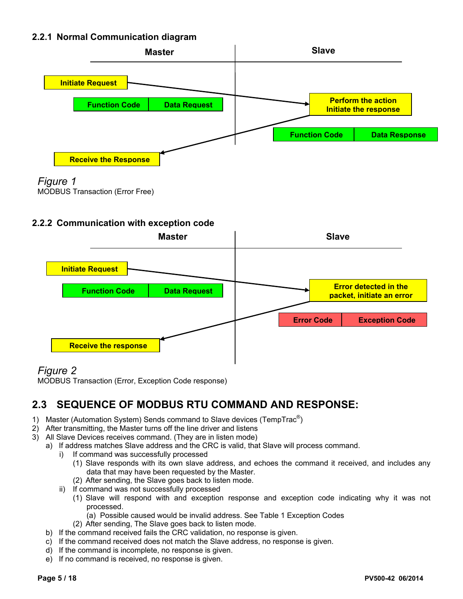### **2.2.1 Normal Communication diagram**





MODBUS Transaction (Error Free)

#### **2.2.2 Communication with exception code**



## *Figure 2*

MODBUS Transaction (Error, Exception Code response)

# **2.3 SEQUENCE OF MODBUS RTU COMMAND AND RESPONSE:**

- 1) Master (Automation System) Sends command to Slave devices (TempTrac $^{\circledR}$ )
- 2) After transmitting, the Master turns off the line driver and listens
- 3) All Slave Devices receives command. (They are in listen mode)
	- a) If address matches Slave address and the CRC is valid, that Slave will process command.
		- i) If command was successfully processed
			- (1) Slave responds with its own slave address, and echoes the command it received, and includes any data that may have been requested by the Master.
			- (2) After sending, the Slave goes back to listen mode.
			- ii) If command was not successfully processed
				- (1) Slave will respond with and exception response and exception code indicating why it was not processed.
					- (a) Possible caused would be invalid address. See Table 1 Exception Codes
				- (2) After sending, The Slave goes back to listen mode.
	- b) If the command received fails the CRC validation, no response is given.
	- c) If the command received does not match the Slave address, no response is given.
	- d) If the command is incomplete, no response is given.
	- e) If no command is received, no response is given.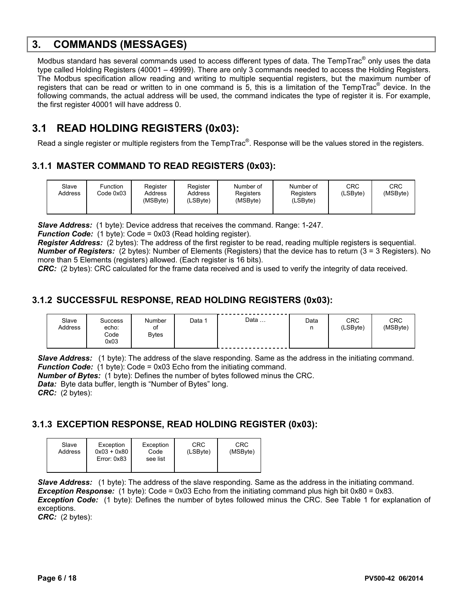## **3. COMMANDS (MESSAGES)**

Modbus standard has several commands used to access different types of data. The TempTrac® only uses the data type called Holding Registers (40001 – 49999). There are only 3 commands needed to access the Holding Registers. The Modbus specification allow reading and writing to multiple sequential registers, but the maximum number of registers that can be read or written to in one command is 5, this is a limitation of the TempTrac<sup>®</sup> device. In the following commands, the actual address will be used, the command indicates the type of register it is. For example, the first register 40001 will have address 0.

# **3.1 READ HOLDING REGISTERS (0x03):**

Read a single register or multiple registers from the TempTrac<sup>®</sup>. Response will be the values stored in the registers.

### **3.1.1 MASTER COMMAND TO READ REGISTERS (0x03):**

| CRC<br>CRC<br>Slave<br>Register<br>Function<br>Number of<br>Register<br>Number of<br>(MSByte)<br>(LSBvte)<br>Address<br>Code 0x03<br>Registers<br>Registers<br>Address<br>Address<br>(MSByte)<br>(MSByte)<br>(LSByte)<br>(LSByte) |
|-----------------------------------------------------------------------------------------------------------------------------------------------------------------------------------------------------------------------------------|
|-----------------------------------------------------------------------------------------------------------------------------------------------------------------------------------------------------------------------------------|

*Slave Address:* (1 byte): Device address that receives the command. Range: 1-247.

*Function Code:* (1 byte): Code = 0x03 (Read holding register).

*Register Address:* (2 bytes): The address of the first register to be read, reading multiple registers is sequential. *Number of Registers:* (2 bytes): Number of Elements (Registers) that the device has to return (3 = 3 Registers). No more than 5 Elements (registers) allowed. (Each register is 16 bits).

*CRC:* (2 bytes): CRC calculated for the frame data received and is used to verify the integrity of data received.

### **3.1.2 SUCCESSFUL RESPONSE, READ HOLDING REGISTERS (0x03):**

| Slave<br>Address | <b>Success</b><br>echo:<br>Code<br>0x03 | Number<br>οt<br><b>Bytes</b> | Data | Data | Data<br>n | <b>CRC</b><br>(LSByte) | <b>CRC</b><br>(MSByte) |
|------------------|-----------------------------------------|------------------------------|------|------|-----------|------------------------|------------------------|
|------------------|-----------------------------------------|------------------------------|------|------|-----------|------------------------|------------------------|

**Slave Address:** (1 byte): The address of the slave responding. Same as the address in the initiating command. *Function Code:* (1 byte): Code = 0x03 Echo from the initiating command.

*Number of Bytes:* (1 byte): Defines the number of bytes followed minus the CRC.

*Data:* Byte data buffer, length is "Number of Bytes" long.

*CRC:* (2 bytes):

### **3.1.3 EXCEPTION RESPONSE, READ HOLDING REGISTER (0x03):**

| Slave<br>Address | Exception<br>$0x03 + 0x80$<br>Error: 0x83 | Exception<br>Code<br>see list | CRC<br>(LSByte) | CRC<br>(MSByte) |
|------------------|-------------------------------------------|-------------------------------|-----------------|-----------------|
|------------------|-------------------------------------------|-------------------------------|-----------------|-----------------|

**Slave Address:** (1 byte): The address of the slave responding. Same as the address in the initiating command. *Exception Response:* (1 byte): Code = 0x03 Echo from the initiating command plus high bit 0x80 = 0x83. *Exception Code:* (1 byte): Defines the number of bytes followed minus the CRC. See Table 1 for explanation of exceptions.

*CRC:* (2 bytes):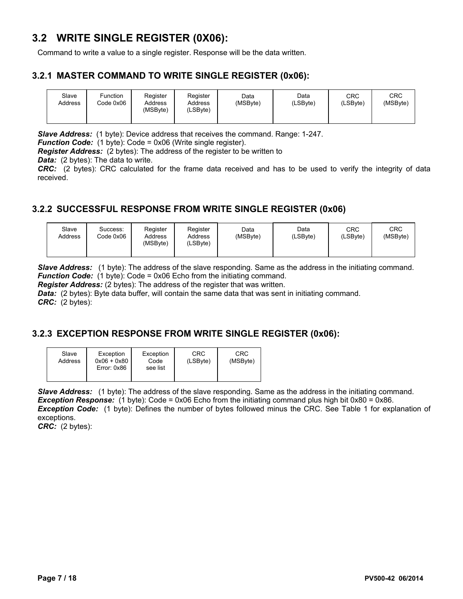## **3.2 WRITE SINGLE REGISTER (0X06):**

Command to write a value to a single register. Response will be the data written.

#### **3.2.1 MASTER COMMAND TO WRITE SINGLE REGISTER (0x06):**

| Slave<br>Address | Function<br>Code 0x06 | Register<br>Address<br>(MSByte) | Register<br>Address<br>(LSByte) | Data<br>(MSByte) | Data<br>(LSByte) | CRC<br>(LSByte) | CRC<br>(MSByte) |
|------------------|-----------------------|---------------------------------|---------------------------------|------------------|------------------|-----------------|-----------------|
|                  |                       |                                 |                                 |                  |                  |                 |                 |

*Slave Address:* (1 byte): Device address that receives the command. Range: 1-247.

*Function Code:* (1 byte): Code = 0x06 (Write single register).

*Register Address:* (2 bytes): The address of the register to be written to

*Data:* (2 bytes): The data to write.

*CRC:* (2 bytes): CRC calculated for the frame data received and has to be used to verify the integrity of data received.

### **3.2.2 SUCCESSFUL RESPONSE FROM WRITE SINGLE REGISTER (0x06)**

| Slave<br>Address | Success:<br>Code 0x06 | Register<br>Address<br>(MSByte) | Register<br>Address<br>(LSByte) | Data<br>(MSByte) | Data<br>(LSByte) | CRC<br>(LSByte) | CRC<br>(MSByte) |
|------------------|-----------------------|---------------------------------|---------------------------------|------------------|------------------|-----------------|-----------------|
|------------------|-----------------------|---------------------------------|---------------------------------|------------------|------------------|-----------------|-----------------|

*Slave Address:* (1 byte): The address of the slave responding. Same as the address in the initiating command. *Function Code:* (1 byte): Code = 0x06 Echo from the initiating command.

*Register Address:* (2 bytes): The address of the register that was written.

*Data: (2 bytes): Byte data buffer, will contain the same data that was sent in initiating command. CRC:* (2 bytes):

### **3.2.3 EXCEPTION RESPONSE FROM WRITE SINGLE REGISTER (0x06):**

| Slave<br>Address | Exception<br>$0x06 + 0x80$<br>Error: 0x86 | Exception<br>Code<br>see list | CRC<br>(LSByte) | CRC<br>(MSByte) |
|------------------|-------------------------------------------|-------------------------------|-----------------|-----------------|
|                  |                                           |                               |                 |                 |

*Slave Address:* (1 byte): The address of the slave responding. Same as the address in the initiating command. **Exception Response:** (1 byte): Code = 0x06 Echo from the initiating command plus high bit 0x80 = 0x86. *Exception Code:* (1 byte): Defines the number of bytes followed minus the CRC. See Table 1 for explanation of exceptions.

*CRC:* (2 bytes):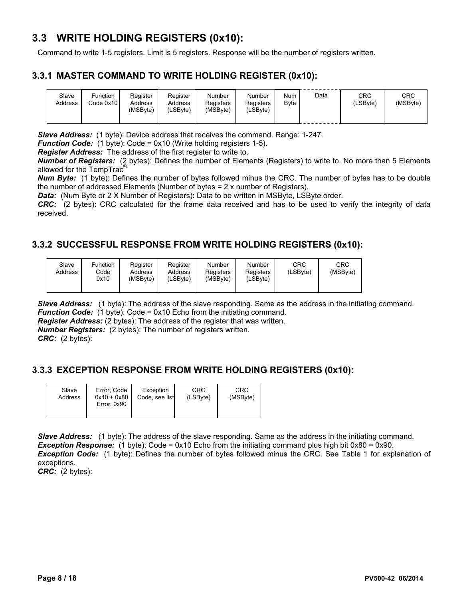## **3.3 WRITE HOLDING REGISTERS (0x10):**

Command to write 1-5 registers. Limit is 5 registers. Response will be the number of registers written.

#### **3.3.1 MASTER COMMAND TO WRITE HOLDING REGISTER (0x10):**

| Slave<br>Address | Function<br>Code 0x10 l | Register<br>Address<br>(MSByte) | Register<br>Address<br>(LSByte) | Number<br><b>Registers</b><br>(MSByte) | Number<br>Registers<br>.∟SBvte) | Num<br>Byte | Data | CRC<br>(LSByte) | CRC<br>(MSByte) |
|------------------|-------------------------|---------------------------------|---------------------------------|----------------------------------------|---------------------------------|-------------|------|-----------------|-----------------|
|                  |                         |                                 |                                 |                                        |                                 |             |      |                 |                 |

*Slave Address:* (1 byte): Device address that receives the command. Range: 1-247.

*Function Code:* (1 byte): Code = 0x10 (Write holding registers 1-5).

*Register Address:* The address of the first register to write to.

*Number of Registers:* (2 bytes): Defines the number of Elements (Registers) to write to. No more than 5 Elements allowed for the TempTrac<sup>®.</sup>

*Num Byte:* (1 byte): Defines the number of bytes followed minus the CRC. The number of bytes has to be double the number of addressed Elements (Number of bytes = 2 x number of Registers).

*Data:* (Num Byte or 2 X Number of Registers): Data to be written in MSByte, LSByte order.

*CRC:* (2 bytes): CRC calculated for the frame data received and has to be used to verify the integrity of data received.

### **3.3.2 SUCCESSFUL RESPONSE FROM WRITE HOLDING REGISTERS (0x10):**

| Slave<br>Address | Function<br>Code<br>0x10 | Register<br>Address<br>(MSByte) | Register<br>Address<br>(LSByte) | Number<br>Registers<br>(MSByte) | Number<br>Registers<br>(LSByte) | CRC<br>(LSByte) | CRC<br>(MSByte) |
|------------------|--------------------------|---------------------------------|---------------------------------|---------------------------------|---------------------------------|-----------------|-----------------|
|------------------|--------------------------|---------------------------------|---------------------------------|---------------------------------|---------------------------------|-----------------|-----------------|

**Slave Address:** (1 byte): The address of the slave responding. Same as the address in the initiating command. *Function Code:* (1 byte): Code = 0x10 Echo from the initiating command.

*Register Address:* (2 bytes): The address of the register that was written.

*Number Registers:* (2 bytes): The number of registers written.

*CRC:* (2 bytes):

#### **3.3.3 EXCEPTION RESPONSE FROM WRITE HOLDING REGISTERS (0x10):**

| Slave<br>Address | Error, Code<br>$0x10 + 0x80$<br>Error: 0x90 | Exception<br>Code, see list | CRC<br>(LSByte) | CRC<br>(MSByte) |
|------------------|---------------------------------------------|-----------------------------|-----------------|-----------------|
|                  |                                             |                             |                 |                 |

**Slave Address:** (1 byte): The address of the slave responding. Same as the address in the initiating command. *Exception Response:* (1 byte): Code = 0x10 Echo from the initiating command plus high bit 0x80 = 0x90. *Exception Code:* (1 byte): Defines the number of bytes followed minus the CRC. See Table 1 for explanation of exceptions.

*CRC:* (2 bytes):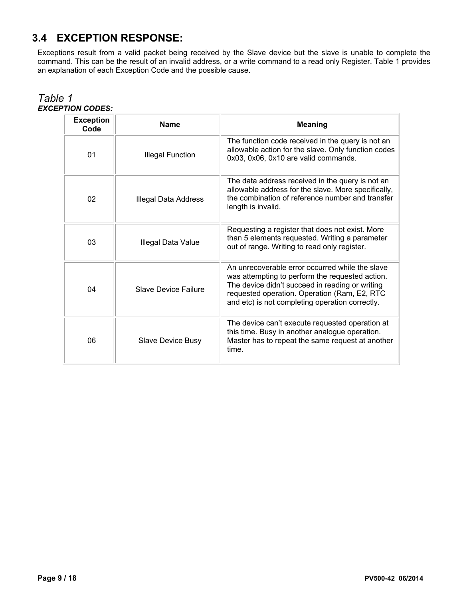# **3.4 EXCEPTION RESPONSE:**

Exceptions result from a valid packet being received by the Slave device but the slave is unable to complete the command. This can be the result of an invalid address, or a write command to a read only Register. Table 1 provides an explanation of each Exception Code and the possible cause.

| <b>Exception</b><br>Code | <b>Name</b>                                                                                                                                                                                               | <b>Meaning</b>                                                                                                                                                                                                                                           |  |  |  |
|--------------------------|-----------------------------------------------------------------------------------------------------------------------------------------------------------------------------------------------------------|----------------------------------------------------------------------------------------------------------------------------------------------------------------------------------------------------------------------------------------------------------|--|--|--|
| 01                       | <b>Illegal Function</b>                                                                                                                                                                                   | The function code received in the query is not an<br>allowable action for the slave. Only function codes<br>0x03, 0x06, 0x10 are valid commands.                                                                                                         |  |  |  |
| 02                       | The data address received in the query is not an<br>allowable address for the slave. More specifically,<br>the combination of reference number and transfer<br>Illegal Data Address<br>length is invalid. |                                                                                                                                                                                                                                                          |  |  |  |
| 03                       | Illegal Data Value                                                                                                                                                                                        | Requesting a register that does not exist. More<br>than 5 elements requested. Writing a parameter<br>out of range. Writing to read only register.                                                                                                        |  |  |  |
| 04                       | Slave Device Failure                                                                                                                                                                                      | An unrecoverable error occurred while the slave<br>was attempting to perform the requested action.<br>The device didn't succeed in reading or writing<br>requested operation. Operation (Ram, E2, RTC<br>and etc) is not completing operation correctly. |  |  |  |
| 06                       | Slave Device Busy                                                                                                                                                                                         | The device can't execute requested operation at<br>this time. Busy in another analogue operation.<br>Master has to repeat the same request at another<br>time.                                                                                           |  |  |  |

#### *Table 1 EXCEPTION CODES:*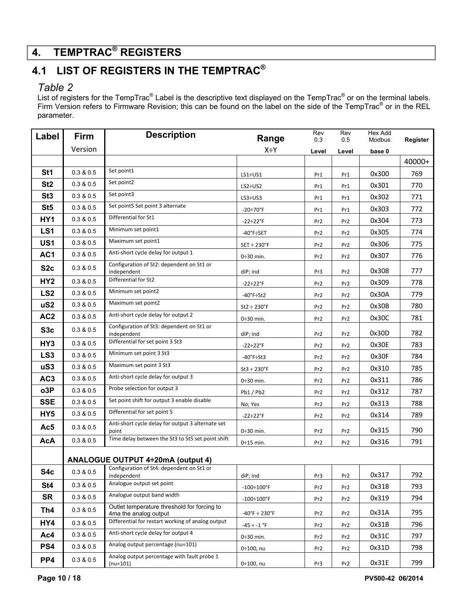# **4. TEMPTRAC® REGISTERS**

# **4.1 LIST OF REGISTERS IN THE TEMPTRAC®**

### *Table 2*

List of registers for the TempTrac® Label is the descriptive text displayed on the TempTrac® or on the terminal labels. Firm Version refers to Firmware Revision; this can be found on the label on the side of the TempTrac<sup>®</sup> or in the REL parameter.

| Label           | Firm                                                                  | <b>Description</b>                                                   | Range                              | Rev<br>0.3      | Rev<br>0.5      | <b>Hex Add</b><br>Modbus | Register |
|-----------------|-----------------------------------------------------------------------|----------------------------------------------------------------------|------------------------------------|-----------------|-----------------|--------------------------|----------|
|                 | Version                                                               |                                                                      | X÷Y                                | Level           | Level           | base 0                   |          |
|                 |                                                                       |                                                                      |                                    |                 |                 |                          | 40000+   |
| St <sub>1</sub> | 0.3 & 0.5                                                             | Set point1                                                           | $LS1 + US1$                        | Pr1             | Pr1             | 0x300                    | 769      |
| St <sub>2</sub> | 0.3 & 0.5                                                             | Set point2                                                           | $LS2+US2$                          | Pr1             | Pr1             | 0x301                    | 770      |
| St <sub>3</sub> | 0.3 & 0.5                                                             | Set point3                                                           | LS3 ÷ US3                          | Pr1             | Pr1             | 0x302                    | 771      |
| St <sub>5</sub> | 0.3 & 0.5                                                             | Set point5 Set point 3 alternate                                     | $-20 \div 70^{\circ}$ F            | Pr1             | Pr1             | 0x303                    | 772      |
| HY1             | 0.3 & 0.5                                                             | Differential for St1                                                 | $-22 \div 22$ °F                   | Pr2             | Pr <sub>2</sub> | 0x304                    | 773      |
| LS <sub>1</sub> | 0.3 & 0.5                                                             | Minimum set point1                                                   | -40°F÷SET                          | Pr <sub>2</sub> | Pr <sub>2</sub> | 0x305                    | 774      |
| US1             | 0.3 & 0.5                                                             | Maximum set point1                                                   | $SET \div 230$ °F                  | Pr <sub>2</sub> | Pr2             | 0x306                    | 775      |
| AC1             | 0.3 & 0.5                                                             | Anti-short cycle delay for output 1                                  | $0\div 30$ min.                    | Pr <sub>2</sub> | Pr <sub>2</sub> | 0x307                    | 776      |
| S <sub>2c</sub> | 0.3 & 0.5                                                             | Configuration of St2: dependent on St1 or<br>independent             | diP; ind                           | Pr3             | Pr <sub>2</sub> | 0x308                    | 777      |
| HY <sub>2</sub> | 0.3 & 0.5                                                             | Differential for St2                                                 | $-22 \div 22$ °F                   | Pr2             | Pr2             | 0x309                    | 778      |
| LS <sub>2</sub> | 0.3 & 0.5                                                             | Minimum set point2                                                   | $-40^{\circ}$ F $\div$ St2         | Pr <sub>2</sub> | Pr <sub>2</sub> | 0x30A                    | 779      |
| uS <sub>2</sub> | 0.3 & 0.5                                                             | Maximum set point2                                                   | $St2 \div 230$ °F                  | Pr <sub>2</sub> | Pr <sub>2</sub> | 0x30B                    | 780      |
| AC <sub>2</sub> | 0.3 & 0.5                                                             | Anti-short cycle delay for output 2                                  | $0\div 30$ min.                    | Pr2             | Pr <sub>2</sub> | 0x30C                    | 781      |
| S <sub>3c</sub> | Configuration of St3: dependent on St1 or<br>0.3 & 0.5<br>independent |                                                                      | diP; ind                           | Pr <sub>2</sub> | Pr <sub>2</sub> | 0x30D                    | 782      |
| HY <sub>3</sub> | 0.3 & 0.5                                                             | Differential for set point 3 St3                                     | $-22 \div 22$ °F                   | Pr <sub>2</sub> | Pr <sub>2</sub> | 0x30E                    | 783      |
| LS <sub>3</sub> | 0.3 & 0.5                                                             | Minimum set point 3 St3                                              | $-40^\circ$ F $\div$ St3           | Pr <sub>2</sub> | Pr <sub>2</sub> | 0x30F                    | 784      |
| uS3             | 0.3 & 0.5                                                             | Maximum set point 3 St3                                              | $St3 \div 230$ °F                  | Pr2             | Pr <sub>2</sub> | 0x310                    | 785      |
| AC <sub>3</sub> | 0.3 & 0.5                                                             | Anti-short cycle delay for output 3                                  | $0\div 30$ min.                    | Pr <sub>2</sub> | Pr <sub>2</sub> | 0x311                    | 786      |
| o3P             | 0.3 & 0.5                                                             | Probe selection for output 3                                         | Pb1/Pb2                            | Pr2             | Pr <sub>2</sub> | 0x312                    | 787      |
| <b>SSE</b>      | 0.3 & 0.5                                                             | Set point shift for output 3 enable disable                          | No; Yes                            | Pr <sub>2</sub> | Pr <sub>2</sub> | 0x313                    | 788      |
| HY <sub>5</sub> | 0.3 & 0.5                                                             | Differential for set point 5                                         | $-22 \div 22$ °F                   | Pr2             | Pr <sub>2</sub> | 0x314                    | 789      |
| Ac5             | 0.3 & 0.5                                                             | Anti-short cycle delay for output 3 alternate set<br>point           | $0\div 30$ min.                    | Pr <sub>2</sub> | Pr2             | 0x315                    | 790      |
| <b>AcA</b>      | 0.3 & 0.5                                                             | Time delay between the St3 to St5 set point shift                    | $0:15$ min.                        | Pr2             | Pr2             | 0x316                    | 791      |
|                 |                                                                       | <b>ANALOGUE OUTPUT 4÷20mA (output 4)</b>                             |                                    |                 |                 |                          |          |
| S4c             | 0.3 & 0.5                                                             | Configuration of St4: dependent on St1 or<br>independent             | diP; ind                           | Pr3             | Pr2             | 0x317                    | 792      |
| St <sub>4</sub> | 0.3 & 0.5                                                             | Analogue output set point                                            | $-100 \div 100$ °F                 | Pr2             | Pr2             | 0x318                    | 793      |
| <b>SR</b>       | 0.3 & 0.5                                                             | Analogue output band width                                           | $-100 \div 100$ °F                 | Pr2             | Pr2             | 0x319                    | 794      |
| Th4             | 0.3 & 0.5                                                             | Outlet temperature threshold for forcing to<br>4ma the analog output | $-40^{\circ}$ F ÷ 230 $^{\circ}$ F | Pr <sub>2</sub> | Pr <sub>2</sub> | 0x31A                    | 795      |
| HY4             | 0.3 & 0.5                                                             | Differential for restart working of analog output                    | $-45 \div -1$ °F                   | Pr <sub>2</sub> | Pr <sub>2</sub> | 0x31B                    | 796      |
| Ac4             | 0.3 & 0.5                                                             | Anti-short cycle delay for output 4                                  | $0\div 30$ min.                    | Pr2             | Pr <sub>2</sub> | 0x31C                    | 797      |
| PS4             | 0.3 & 0.5                                                             | Analog output percentage (nu=101)                                    | 0÷100, nu                          | Pr2             | Pr <sub>2</sub> | 0x31D                    | 798      |
| PP4             | 0.3 & 0.5                                                             | Analog output percentage with fault probe 1<br>$(nu=101)$            | 0÷100, nu                          | Pr3             | Pr <sub>2</sub> | 0x31E                    | 799      |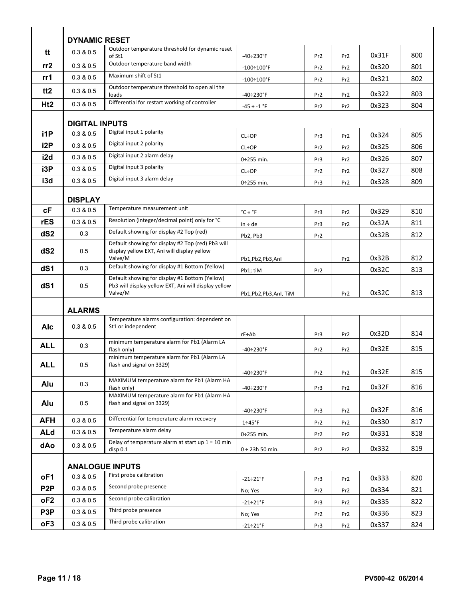|                  | <b>DYNAMIC RESET</b>   |                                                                                                        |                             |                 |                 |       |     |  |  |  |
|------------------|------------------------|--------------------------------------------------------------------------------------------------------|-----------------------------|-----------------|-----------------|-------|-----|--|--|--|
| tt               | 0.3 & 0.5              | Outdoor temperature threshold for dynamic reset<br>of St1                                              | $-40 \div 230$ °F           | Pr <sub>2</sub> | Pr <sub>2</sub> | 0x31F | 800 |  |  |  |
| rr2              | 0.3 & 0.5              | Outdoor temperature band width                                                                         | $-100 \div 100$ °F          | Pr <sub>2</sub> | Pr <sub>2</sub> | 0x320 | 801 |  |  |  |
| rr1              | 0.3 & 0.5              | Maximum shift of St1                                                                                   | $-100 \div 100$ °F          | Pr <sub>2</sub> | Pr <sub>2</sub> | 0x321 | 802 |  |  |  |
| tt <sub>2</sub>  | 0.3 & 0.5              | Outdoor temperature threshold to open all the<br>loads                                                 | $-40 \div 230$ °F           | Pr <sub>2</sub> | Pr <sub>2</sub> | 0x322 | 803 |  |  |  |
| Ht2              | 0.3 & 0.5              | Differential for restart working of controller                                                         | $-45 \div -1$ °F            | Pr <sub>2</sub> | Pr <sub>2</sub> | 0x323 | 804 |  |  |  |
|                  |                        |                                                                                                        |                             |                 |                 |       |     |  |  |  |
|                  | <b>DIGITAL INPUTS</b>  |                                                                                                        |                             |                 |                 |       |     |  |  |  |
| i1P              | 0.3 & 0.5              | Digital input 1 polarity                                                                               | <b>CL÷OP</b>                | Pr3             | Pr <sub>2</sub> | 0x324 | 805 |  |  |  |
| i <sub>2</sub> P | 0.3 & 0.5              | Digital input 2 polarity                                                                               | <b>CL÷OP</b>                | Pr <sub>2</sub> | Pr <sub>2</sub> | 0x325 | 806 |  |  |  |
| i2d              | 0.3 & 0.5              | Digital input 2 alarm delay                                                                            | $0:255$ min.                | Pr3             | Pr <sub>2</sub> | 0x326 | 807 |  |  |  |
| i3P              | 0.3 & 0.5              | Digital input 3 polarity                                                                               | <b>CL÷OP</b>                | Pr <sub>2</sub> | Pr <sub>2</sub> | 0x327 | 808 |  |  |  |
| i3d              | 0.3 & 0.5              | Digital input 3 alarm delay                                                                            | $0:255$ min.                | Pr3             | Pr <sub>2</sub> | 0x328 | 809 |  |  |  |
|                  | <b>DISPLAY</b>         |                                                                                                        |                             |                 |                 |       |     |  |  |  |
| сF               | 0.3 & 0.5              | Temperature measurement unit                                                                           |                             |                 |                 | 0x329 | 810 |  |  |  |
| rES              | 0.3 & 0.5              | Resolution (integer/decimal point) only for °C                                                         | $^{\circ}$ C ÷ $^{\circ}$ F | Pr3             | Pr <sub>2</sub> | 0x32A | 811 |  |  |  |
| dS <sub>2</sub>  | 0.3                    | Default showing for display #2 Top (red)                                                               | $in \div de$                | Pr3             | Pr <sub>2</sub> |       |     |  |  |  |
|                  |                        | Default showing for display #2 Top (red) Pb3 will                                                      | Pb2, Pb3                    | Pr <sub>2</sub> |                 | 0x32B | 812 |  |  |  |
| dS <sub>2</sub>  | 0.5                    | display yellow EXT, Ani will display yellow<br>Valve/M                                                 | Pb1,Pb2,Pb3,AnI             |                 | Pr <sub>2</sub> | 0x32B | 812 |  |  |  |
| dS1              | 0.3                    | Default showing for display #1 Bottom (Yellow)                                                         | Pb1; tiM                    | Pr <sub>2</sub> |                 | 0x32C | 813 |  |  |  |
| dS1              | 0.5                    | Default showing for display #1 Bottom (Yellow)<br>Pb3 will display yellow EXT, Ani will display yellow |                             |                 |                 |       |     |  |  |  |
|                  |                        | Valve/M                                                                                                | Pb1,Pb2,Pb3,AnI, TiM        |                 | Pr <sub>2</sub> | 0x32C | 813 |  |  |  |
|                  | <b>ALARMS</b>          |                                                                                                        |                             |                 |                 |       |     |  |  |  |
| <b>Alc</b>       | 0.3 & 0.5              | Temperature alarms configuration: dependent on<br>St1 or independent                                   |                             |                 |                 |       |     |  |  |  |
|                  |                        |                                                                                                        | rE÷Ab                       | Pr3             | Pr <sub>2</sub> | 0x32D | 814 |  |  |  |
| <b>ALL</b>       | 0.3                    | minimum temperature alarm for Pb1 (Alarm LA<br>flash only)                                             | $-40 \div 230$ °F           | Pr <sub>2</sub> | Pr2             | 0x32E | 815 |  |  |  |
| <b>ALL</b>       | 0.5                    | minimum temperature alarm for Pb1 (Alarm LA<br>flash and signal on 3329)                               |                             |                 |                 |       |     |  |  |  |
|                  |                        |                                                                                                        | $-40 \div 230$ °F           | Pr <sub>2</sub> | Pr <sub>2</sub> | 0x32E | 815 |  |  |  |
| Alu              | 0.3                    | MAXIMUM temperature alarm for Pb1 (Alarm HA<br>flash only)                                             | $-40 \div 230$ °F           | Pr3             | Pr <sub>2</sub> | 0x32F | 816 |  |  |  |
|                  |                        | MAXIMUM temperature alarm for Pb1 (Alarm HA                                                            |                             |                 |                 |       |     |  |  |  |
| Alu              | 0.5                    | flash and signal on 3329)                                                                              | $-40 \div 230$ °F           | Pr3             | Pr2             | 0x32F | 816 |  |  |  |
| <b>AFH</b>       | 0.3 & 0.5              | Differential for temperature alarm recovery                                                            | $1\div 45$ °F               | Pr <sub>2</sub> | Pr <sub>2</sub> | 0x330 | 817 |  |  |  |
| <b>ALd</b>       | 0.3 & 0.5              | Temperature alarm delay                                                                                | $0:255$ min.                | Pr <sub>2</sub> | Pr <sub>2</sub> | 0x331 | 818 |  |  |  |
| dAo              | 0.3 & 0.5              | Delay of temperature alarm at start up $1 = 10$ min<br>disp 0.1                                        | $0 \div 23h 50$ min.        | Pr <sub>2</sub> | Pr2             | 0x332 | 819 |  |  |  |
|                  |                        |                                                                                                        |                             |                 |                 |       |     |  |  |  |
|                  | <b>ANALOGUE INPUTS</b> |                                                                                                        |                             |                 |                 |       |     |  |  |  |
| oF1              | 0.3 & 0.5              | First probe calibration                                                                                | $-21 \div 21$ °F            | Pr3             | Pr2             | 0x333 | 820 |  |  |  |
| P <sub>2</sub> P | 0.3 & 0.5              | Second probe presence                                                                                  | No; Yes                     | Pr <sub>2</sub> | Pr <sub>2</sub> | 0x334 | 821 |  |  |  |
| oF <sub>2</sub>  | 0.3 & 0.5              | Second probe calibration                                                                               | $-21 \div 21$ °F            | Pr3             | Pr <sub>2</sub> | 0x335 | 822 |  |  |  |
| P <sub>3</sub> P | 0.3 & 0.5              | Third probe presence                                                                                   | No; Yes                     | Pr2             | Pr <sub>2</sub> | 0x336 | 823 |  |  |  |
| oF3              | 0.3 & 0.5              | Third probe calibration                                                                                | $-21 \div 21$ °F            | Pr3             | Pr <sub>2</sub> | 0x337 | 824 |  |  |  |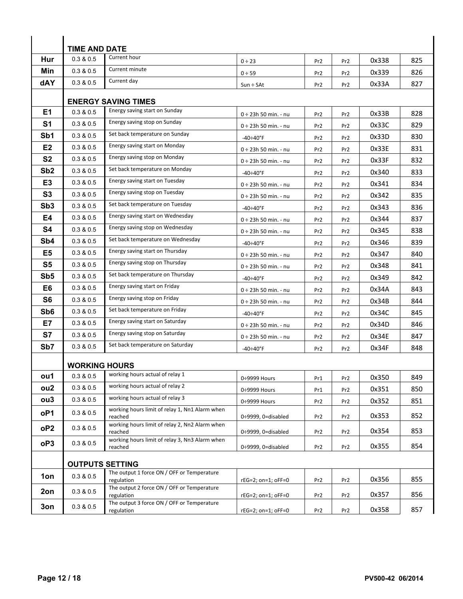|                 | <b>TIME AND DATE</b>       |                                                           |                           |                 |                 |       |     |  |  |
|-----------------|----------------------------|-----------------------------------------------------------|---------------------------|-----------------|-----------------|-------|-----|--|--|
| Hur             | 0.3 & 0.5                  | Current hour                                              | $0 \div 23$               | Pr <sub>2</sub> | Pr <sub>2</sub> | 0x338 | 825 |  |  |
| Min             | 0.3 & 0.5                  | Current minute                                            | 0 ÷ 59                    | Pr <sub>2</sub> | Pr <sub>2</sub> | 0x339 | 826 |  |  |
| dAY             | 0.3 & 0.5                  | Current day                                               | $Sun \div SAt$            | Pr <sub>2</sub> | Pr <sub>2</sub> | 0x33A | 827 |  |  |
|                 |                            |                                                           |                           |                 |                 |       |     |  |  |
|                 | <b>ENERGY SAVING TIMES</b> |                                                           |                           |                 |                 |       |     |  |  |
| E1              | 0.3 & 0.5                  | Energy saving start on Sunday                             | $0 \div 23h 50$ min. - nu | Pr <sub>2</sub> | Pr <sub>2</sub> | 0x33B | 828 |  |  |
| S <sub>1</sub>  | 0.3 & 0.5                  | Energy saving stop on Sunday                              | $0 \div 23h 50$ min. - nu | Pr <sub>2</sub> | Pr <sub>2</sub> | 0x33C | 829 |  |  |
| Sb1             | 0.3 & 0.5                  | Set back temperature on Sunday                            | $-40 \div 40^{\circ}$ F   | Pr <sub>2</sub> | Pr <sub>2</sub> | 0x33D | 830 |  |  |
| E <sub>2</sub>  | 0.3 & 0.5                  | Energy saving start on Monday                             | 0 ÷ 23h 50 min. - nu      | Pr <sub>2</sub> | Pr <sub>2</sub> | 0x33E | 831 |  |  |
| S <sub>2</sub>  | 0.3 & 0.5                  | Energy saving stop on Monday                              | $0 \div 23h 50$ min. - nu | Pr <sub>2</sub> | Pr <sub>2</sub> | 0x33F | 832 |  |  |
| Sb <sub>2</sub> | 0.3 & 0.5                  | Set back temperature on Monday                            | $-40 \div 40^{\circ}$ F   | Pr <sub>2</sub> | Pr <sub>2</sub> | 0x340 | 833 |  |  |
| E <sub>3</sub>  | 0.3 & 0.5                  | Energy saving start on Tuesday                            | $0 \div 23h 50$ min. - nu | Pr <sub>2</sub> | Pr <sub>2</sub> | 0x341 | 834 |  |  |
| S3              | 0.3 & 0.5                  | Energy saving stop on Tuesday                             | 0 ÷ 23h 50 min. - nu      | Pr <sub>2</sub> | Pr <sub>2</sub> | 0x342 | 835 |  |  |
| Sb <sub>3</sub> | 0.3 & 0.5                  | Set back temperature on Tuesday                           | $-40 \div 40$ °F          | Pr <sub>2</sub> | Pr <sub>2</sub> | 0x343 | 836 |  |  |
| E4              | 0.3 & 0.5                  | Energy saving start on Wednesday                          | $0 \div 23h 50$ min. - nu | Pr <sub>2</sub> | Pr <sub>2</sub> | 0x344 | 837 |  |  |
| <b>S4</b>       | 0.3 & 0.5                  | Energy saving stop on Wednesday                           | 0 ÷ 23h 50 min. - nu      | Pr <sub>2</sub> | Pr <sub>2</sub> | 0x345 | 838 |  |  |
| Sb <sub>4</sub> | 0.3 & 0.5                  | Set back temperature on Wednesday                         | $-40 \div 40$ °F          | Pr <sub>2</sub> | Pr <sub>2</sub> | 0x346 | 839 |  |  |
| E <sub>5</sub>  | 0.3 & 0.5                  | Energy saving start on Thursday                           | $0 \div 23h 50$ min. - nu | Pr <sub>2</sub> | Pr <sub>2</sub> | 0x347 | 840 |  |  |
| S <sub>5</sub>  | 0.3 & 0.5                  | Energy saving stop on Thursday                            | $0 \div 23h 50$ min. - nu | Pr <sub>2</sub> | Pr <sub>2</sub> | 0x348 | 841 |  |  |
| Sb <sub>5</sub> | 0.3 & 0.5                  | Set back temperature on Thursday                          | $-40 \div 40^{\circ}$ F   | Pr <sub>2</sub> | Pr <sub>2</sub> | 0x349 | 842 |  |  |
| E6              | 0.3 & 0.5                  | Energy saving start on Friday                             | $0 \div 23h 50$ min. - nu | Pr <sub>2</sub> | Pr <sub>2</sub> | 0x34A | 843 |  |  |
| S <sub>6</sub>  | 0.3 & 0.5                  | Energy saving stop on Friday                              | 0 ÷ 23h 50 min. - nu      | Pr <sub>2</sub> | Pr <sub>2</sub> | 0x34B | 844 |  |  |
| Sb <sub>6</sub> | 0.3 & 0.5                  | Set back temperature on Friday                            | $-40 \div 40^{\circ}$ F   | Pr <sub>2</sub> | Pr <sub>2</sub> | 0x34C | 845 |  |  |
| E7              | 0.3 & 0.5                  | Energy saving start on Saturday                           | $0 \div 23h 50$ min. - nu | Pr <sub>2</sub> | Pr <sub>2</sub> | 0x34D | 846 |  |  |
| S7              | 0.3 & 0.5                  | Energy saving stop on Saturday                            | 0 ÷ 23h 50 min. - nu      | Pr <sub>2</sub> | Pr <sub>2</sub> | 0x34E | 847 |  |  |
| Sb <sub>7</sub> | 0.3 & 0.5                  | Set back temperature on Saturday                          | $-40 \div 40$ °F          | Pr <sub>2</sub> | Pr <sub>2</sub> | 0x34F | 848 |  |  |
|                 |                            |                                                           |                           |                 |                 |       |     |  |  |
|                 | <b>WORKING HOURS</b>       | working hours actual of relay 1                           |                           |                 |                 |       |     |  |  |
| ou1             | 0.3 & 0.5                  | working hours actual of relay 2                           | 0÷9999 Hours              | Pr1             | Pr <sub>2</sub> | 0x350 | 849 |  |  |
| ou <sub>2</sub> | 0.3 & 0.5                  | working hours actual of relay 3                           | 0÷9999 Hours              | Pr1             | Pr <sub>2</sub> | 0x351 | 850 |  |  |
| ou <sub>3</sub> | 0.3 & 0.5                  | working hours limit of relay 1, Nn1 Alarm when            | 0÷9999 Hours              | Pr <sub>2</sub> | Pr <sub>2</sub> | 0x352 | 851 |  |  |
| oP1             | 0.3 & 0.5                  | reached                                                   | 0÷9999, 0=disabled        | Pr <sub>2</sub> | Pr <sub>2</sub> | 0x353 | 852 |  |  |
| oP <sub>2</sub> | 0.3 & 0.5                  | working hours limit of relay 2, Nn2 Alarm when<br>reached | 0÷9999, 0=disabled        | Pr <sub>2</sub> | Pr <sub>2</sub> | 0x354 | 853 |  |  |
| oP3             | 0.3 & 0.5                  | working hours limit of relay 3, Nn3 Alarm when<br>reached | 0÷9999, 0=disabled        | Pr <sub>2</sub> | Pr <sub>2</sub> | 0x355 | 854 |  |  |
|                 | <b>OUTPUTS SETTING</b>     |                                                           |                           |                 |                 |       |     |  |  |
| 1on             | 0.3 & 0.5                  | The output 1 force ON / OFF or Temperature<br>regulation  | $rEG=2$ ; on=1; oFF=0     | Pr <sub>2</sub> | Pr <sub>2</sub> | 0x356 | 855 |  |  |
| 2on             | 0.3 & 0.5                  | The output 2 force ON / OFF or Temperature<br>regulation  | $rEG=2$ ; on=1; oFF=0     | Pr <sub>2</sub> | Pr <sub>2</sub> | 0x357 | 856 |  |  |
| 3on             | 0.3 & 0.5                  | The output 3 force ON / OFF or Temperature                |                           |                 |                 |       |     |  |  |
|                 |                            | regulation                                                | rEG=2; on=1; oFF=0        | Pr <sub>2</sub> | Pr <sub>2</sub> | 0x358 | 857 |  |  |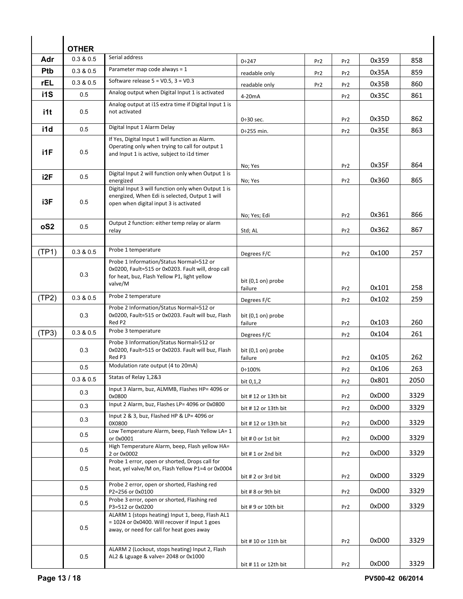|                 | <b>OTHER</b> |                                                                                                                                                   |                                           |                 |                 |       |      |  |  |
|-----------------|--------------|---------------------------------------------------------------------------------------------------------------------------------------------------|-------------------------------------------|-----------------|-----------------|-------|------|--|--|
| Adr             | 0.3 & 0.5    | Serial address                                                                                                                                    | 0:247                                     | Pr <sub>2</sub> | Pr <sub>2</sub> | 0x359 | 858  |  |  |
| Ptb             | 0.3 & 0.5    | Parameter map code always = 1                                                                                                                     | readable only                             | Pr <sub>2</sub> | Pr <sub>2</sub> | 0x35A | 859  |  |  |
| <b>rEL</b>      | 0.3 & 0.5    | Software release $5 = V0.5$ , $3 = V0.3$                                                                                                          | readable only                             | Pr <sub>2</sub> | Pr <sub>2</sub> | 0x35B | 860  |  |  |
| i1S             | 0.5          | Analog output when Digital Input 1 is activated                                                                                                   | 4-20mA                                    |                 | Pr <sub>2</sub> | 0x35C | 861  |  |  |
|                 |              | Analog output at i1S extra time if Digital Input 1 is                                                                                             |                                           |                 |                 |       |      |  |  |
| i1t             | 0.5          | not activated                                                                                                                                     | $0\div 30$ sec.                           |                 | Pr <sub>2</sub> | 0x35D | 862  |  |  |
| i1d             | 0.5          | Digital Input 1 Alarm Delay                                                                                                                       | $0:255$ min.                              |                 | Pr <sub>2</sub> | 0x35E | 863  |  |  |
| i1F             | 0.5          | If Yes, Digital Input 1 will function as Alarm.<br>Operating only when trying to call for output 1<br>and Input 1 is active, subject to i1d timer |                                           |                 |                 | 0x35F | 864  |  |  |
| i2F             |              | Digital Input 2 will function only when Output 1 is                                                                                               | No; Yes                                   |                 | Pr <sub>2</sub> |       |      |  |  |
|                 | 0.5          | energized                                                                                                                                         | No; Yes                                   |                 | Pr <sub>2</sub> | 0x360 | 865  |  |  |
| i3F             | 0.5          | Digital Input 3 will function only when Output 1 is<br>energized, When Edi is selected, Output 1 will<br>open when digital input 3 is activated   |                                           |                 |                 |       |      |  |  |
|                 |              | Output 2 function: either temp relay or alarm                                                                                                     | No; Yes; Edi                              |                 | Pr <sub>2</sub> | 0x361 | 866  |  |  |
| oS <sub>2</sub> | 0.5          | relay                                                                                                                                             | Std; AL                                   |                 | Pr <sub>2</sub> | 0x362 | 867  |  |  |
|                 |              | Probe 1 temperature                                                                                                                               |                                           |                 |                 |       |      |  |  |
| (TP1)           | 0.3 & 0.5    | Probe 1 Information/Status Normal=512 or                                                                                                          | Degrees F/C                               |                 | Pr <sub>2</sub> | 0x100 | 257  |  |  |
|                 | 0.3          | 0x0200, Fault=515 or 0x0203. Fault will, drop call<br>for heat, buz, Flash Yellow P1, light yellow<br>valve/M                                     | bit (0,1 on) probe<br>failure             |                 | Pr <sub>2</sub> | 0x101 | 258  |  |  |
| (TP2)           | 0.3 & 0.5    | Probe 2 temperature                                                                                                                               | Degrees F/C                               |                 | Pr <sub>2</sub> | 0x102 | 259  |  |  |
|                 | 0.3          | Probe 2 Information/Status Normal=512 or<br>0x0200, Fault=515 or 0x0203. Fault will buz, Flash<br>Red P2                                          | bit (0,1 on) probe<br>failure             |                 | Pr <sub>2</sub> | 0x103 | 260  |  |  |
| (TP3)           | 0.3 & 0.5    | Probe 3 temperature                                                                                                                               | Degrees F/C                               |                 | Pr <sub>2</sub> | 0x104 | 261  |  |  |
|                 | 0.3          | Probe 3 Information/Status Normal=512 or<br>0x0200, Fault=515 or 0x0203. Fault will buz, Flash<br>Red P3                                          | bit (0,1 on) probe<br>failure             |                 | Pr <sub>2</sub> | 0x105 | 262  |  |  |
|                 | 0.5          | Modulation rate output (4 to 20mA)                                                                                                                | 0:100%                                    |                 | Pr <sub>2</sub> | 0x106 | 263  |  |  |
|                 | 0.3 & 0.5    | Statas of Relay 1,2&3                                                                                                                             | bit 0,1,2                                 |                 | Pr <sub>2</sub> | 0x801 | 2050 |  |  |
|                 | 0.3          | Input 3 Alarm, buz, ALMMB, Flashes HP= 4096 or<br>0x0800                                                                                          | bit #12 or 13th bit                       |                 | Pr <sub>2</sub> | 0xD00 | 3329 |  |  |
|                 | 0.3          | Input 2 Alarm, buz, Flashes LP= 4096 or 0x0800                                                                                                    | bit #12 or 13th bit                       |                 | Pr <sub>2</sub> | 0xD00 | 3329 |  |  |
|                 | 0.3          | Input 2 & 3, buz, Flashed HP & LP= 4096 or<br>0X0800                                                                                              |                                           |                 | Pr <sub>2</sub> | 0xD00 | 3329 |  |  |
|                 | 0.5          | Low Temperature Alarm, beep, Flash Yellow LA= 1<br>or 0x0001                                                                                      | bit #12 or 13th bit<br>bit # 0 or 1st bit |                 | Pr <sub>2</sub> | 0xD00 | 3329 |  |  |
|                 | 0.5          | High Temperature Alarm, beep, Flash yellow HA=<br>2 or 0x0002                                                                                     | bit #1 or 2nd bit                         |                 | Pr <sub>2</sub> | 0xD00 | 3329 |  |  |
|                 | 0.5          | Probe 1 error, open or shorted, Drops call for<br>heat, yel valve/M on, Flash Yellow P1=4 or 0x0004                                               | bit # 2 or 3rd bit                        |                 | Pr <sub>2</sub> | 0xD00 | 3329 |  |  |
|                 | 0.5          | Probe 2 error, open or shorted, Flashing red<br>P2=256 or 0x0100                                                                                  | bit # 8 or 9th bit                        |                 | Pr <sub>2</sub> | 0xD00 | 3329 |  |  |
|                 | 0.5          | Probe 3 error, open or shorted, Flashing red<br>P3=512 or 0x0200                                                                                  | bit #9 or 10th bit                        |                 | Pr <sub>2</sub> | 0xD00 | 3329 |  |  |
|                 | 0.5          | ALARM 1 (stops heating) Input 1, beep, Flash AL1<br>= 1024 or 0x0400. Will recover if Input 1 goes<br>away, or need for call for heat goes away   |                                           |                 |                 |       |      |  |  |
|                 |              | ALARM 2 (Lockout, stops heating) Input 2, Flash                                                                                                   | bit #10 or 11th bit                       |                 | Pr <sub>2</sub> | 0xD00 | 3329 |  |  |
|                 | 0.5          | AL2 & Lguage & valve= 2048 or 0x1000                                                                                                              | bit #11 or 12th bit                       |                 | Pr <sub>2</sub> | 0xD00 | 3329 |  |  |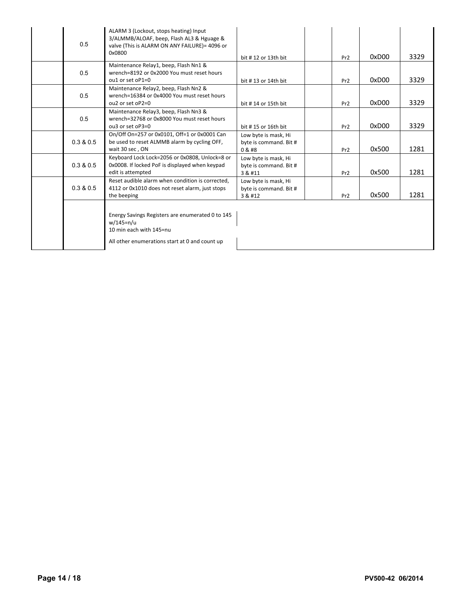| 0.5       | ALARM 3 (Lockout, stops heating) Input<br>3/ALMMB/ALOAF, beep, Flash AL3 & Hguage &<br>valve (This is ALARM ON ANY FAILURE)= 4096 or<br>0x0800 | bit #12 or 13th bit                                       | Pr <sub>2</sub> | 0xD00 | 3329 |
|-----------|------------------------------------------------------------------------------------------------------------------------------------------------|-----------------------------------------------------------|-----------------|-------|------|
| 0.5       | Maintenance Relay1, beep, Flash Nn1 &<br>wrench=8192 or 0x2000 You must reset hours<br>$0.1$ or set $0P1=0$                                    | bit #13 or 14th bit                                       | Pr <sub>2</sub> | 0xD00 | 3329 |
| 0.5       | Maintenance Relay2, beep, Flash Nn2 &<br>wrench=16384 or 0x4000 You must reset hours<br>$ou2$ or set $oP2=0$                                   | bit #14 or 15th bit                                       | Pr <sub>2</sub> | 0xD00 | 3329 |
| 0.5       | Maintenance Relay3, beep, Flash Nn3 &<br>wrench=32768 or 0x8000 You must reset hours<br>ou3 or set oP3=0                                       | bit #15 or 16th bit                                       | Pr <sub>2</sub> | 0xD00 | 3329 |
| 0.3 & 0.5 | On/Off On=257 or 0x0101, Off=1 or 0x0001 Can<br>be used to reset ALMMB alarm by cycling OFF,<br>wait 30 sec, ON                                | Low byte is mask, Hi<br>byte is command. Bit #<br>0 & #8  | Pr <sub>2</sub> | 0x500 | 1281 |
| 0.3 & 0.5 | Keyboard Lock Lock=2056 or 0x0808, Unlock=8 or<br>0x0008. If locked PoF is displayed when keypad<br>edit is attempted                          | Low byte is mask, Hi<br>byte is command. Bit #<br>3 & #11 | Pr <sub>2</sub> | 0x500 | 1281 |
| 0.3 & 0.5 | Reset audible alarm when condition is corrected.<br>4112 or 0x1010 does not reset alarm, just stops<br>the beeping                             | Low byte is mask, Hi<br>byte is command. Bit #<br>3 & #12 | Pr <sub>2</sub> | 0x500 | 1281 |
|           | Energy Savings Registers are enumerated 0 to 145<br>w/145=n/u<br>10 min each with 145=nu<br>All other enumerations start at 0 and count up     |                                                           |                 |       |      |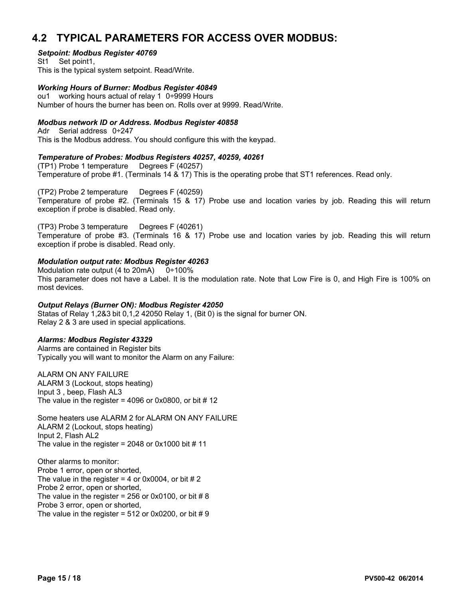## **4.2 TYPICAL PARAMETERS FOR ACCESS OVER MODBUS:**

#### *Setpoint: Modbus Register 40769*

St1 Set point1, This is the typical system setpoint. Read/Write.

#### *Working Hours of Burner: Modbus Register 40849*

ou1 working hours actual of relay 1 0÷9999 Hours Number of hours the burner has been on. Rolls over at 9999. Read/Write.

#### *Modbus network ID or Address. Modbus Register 40858*

Adr Serial address 0÷247 This is the Modbus address. You should configure this with the keypad.

#### *Temperature of Probes: Modbus Registers 40257, 40259, 40261*

(TP1) Probe 1 temperature Degrees F (40257) Temperature of probe #1. (Terminals 14 & 17) This is the operating probe that ST1 references. Read only.

(TP2) Probe 2 temperature Degrees F (40259) Temperature of probe #2. (Terminals 15 & 17) Probe use and location varies by job. Reading this will return exception if probe is disabled. Read only.

(TP3) Probe 3 temperature Degrees F (40261) Temperature of probe #3. (Terminals 16 & 17) Probe use and location varies by job. Reading this will return exception if probe is disabled. Read only.

#### *Modulation output rate: Modbus Register 40263*

Modulation rate output (4 to 20mA)  $0+100\%$ This parameter does not have a Label. It is the modulation rate. Note that Low Fire is 0, and High Fire is 100% on most devices.

#### *Output Relays (Burner ON): Modbus Register 42050*

Statas of Relay 1,2&3 bit 0,1,2 42050 Relay 1, (Bit 0) is the signal for burner ON. Relay 2 & 3 are used in special applications.

#### *Alarms: Modbus Register 43329*

Alarms are contained in Register bits Typically you will want to monitor the Alarm on any Failure:

ALARM ON ANY FAILURE ALARM 3 (Lockout, stops heating) Input 3 , beep, Flash AL3 The value in the register =  $4096$  or 0x0800, or bit # 12

Some heaters use ALARM 2 for ALARM ON ANY FAILURE ALARM 2 (Lockout, stops heating) Input 2, Flash AL2 The value in the register = 2048 or  $0x1000$  bit # 11

Other alarms to monitor: Probe 1 error, open or shorted, The value in the register = 4 or 0x0004, or bit  $# 2$ Probe 2 error, open or shorted, The value in the register = 256 or 0x0100, or bit  $\# 8$ Probe 3 error, open or shorted, The value in the register =  $512$  or 0x0200, or bit # 9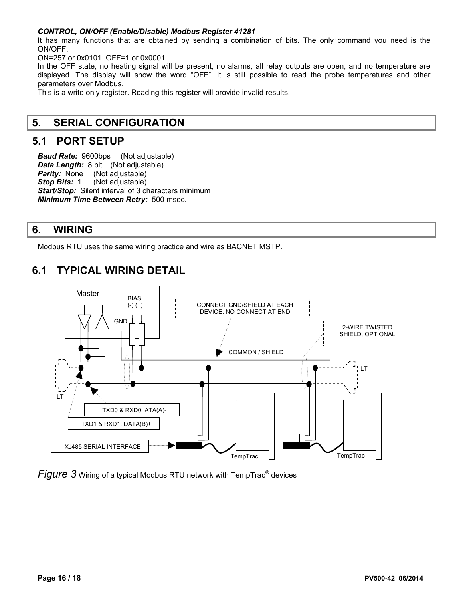#### *CONTROL, ON/OFF (Enable/Disable) Modbus Register 41281*

It has many functions that are obtained by sending a combination of bits. The only command you need is the ON/OFF.

ON=257 or 0x0101, OFF=1 or 0x0001

In the OFF state, no heating signal will be present, no alarms, all relay outputs are open, and no temperature are displayed. The display will show the word "OFF". It is still possible to read the probe temperatures and other parameters over Modbus.

This is a write only register. Reading this register will provide invalid results.

### **5. SERIAL CONFIGURATION**

#### **5.1 PORT SETUP**

*Baud Rate:* 9600bps (Not adjustable) *Data Length: 8 bit (Not adjustable) Parity:* None (Not adjustable) **Stop Bits: 1** (Not adjustable) **Start/Stop:** Silent interval of 3 characters minimum *Minimum Time Between Retry:* 500 msec.

## **6. WIRING**

Modbus RTU uses the same wiring practice and wire as BACNET MSTP.

## **6.1 TYPICAL WIRING DETAIL**



Figure 3 Wiring of a typical Modbus RTU network with TempTrac<sup>®</sup> devices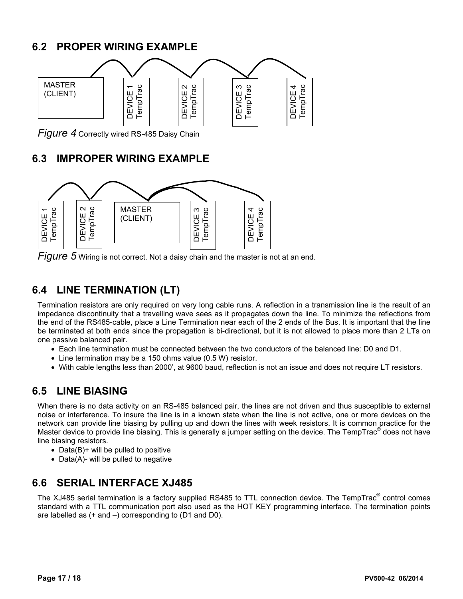# **6.2 PROPER WIRING EXAMPLE**



*Figure 4* Correctly wired RS-485 Daisy Chain

## **6.3 IMPROPER WIRING EXAMPLE**





## **6.4 LINE TERMINATION (LT)**

Termination resistors are only required on very long cable runs. A reflection in a transmission line is the result of an impedance discontinuity that a travelling wave sees as it propagates down the line. To minimize the reflections from the end of the RS485-cable, place a Line Termination near each of the 2 ends of the Bus. It is important that the line be terminated at both ends since the propagation is bi-directional, but it is not allowed to place more than 2 LTs on one passive balanced pair.

- Each line termination must be connected between the two conductors of the balanced line: D0 and D1.
- Line termination may be a 150 ohms value (0.5 W) resistor.
- With cable lengths less than 2000', at 9600 baud, reflection is not an issue and does not require LT resistors.

## **6.5 LINE BIASING**

When there is no data activity on an RS-485 balanced pair, the lines are not driven and thus susceptible to external noise or interference. To insure the line is in a known state when the line is not active, one or more devices on the network can provide line biasing by pulling up and down the lines with week resistors. It is common practice for the Master device to provide line biasing. This is generally a jumper setting on the device. The TempTrac<sup>®</sup> does not have line biasing resistors.

- Data(B)+ will be pulled to positive
- Data(A)- will be pulled to negative

## **6.6 SERIAL INTERFACE XJ485**

The XJ485 serial termination is a factory supplied RS485 to TTL connection device. The TempTrac<sup>®</sup> control comes standard with a TTL communication port also used as the HOT KEY programming interface. The termination points are labelled as (+ and –) corresponding to (D1 and D0).